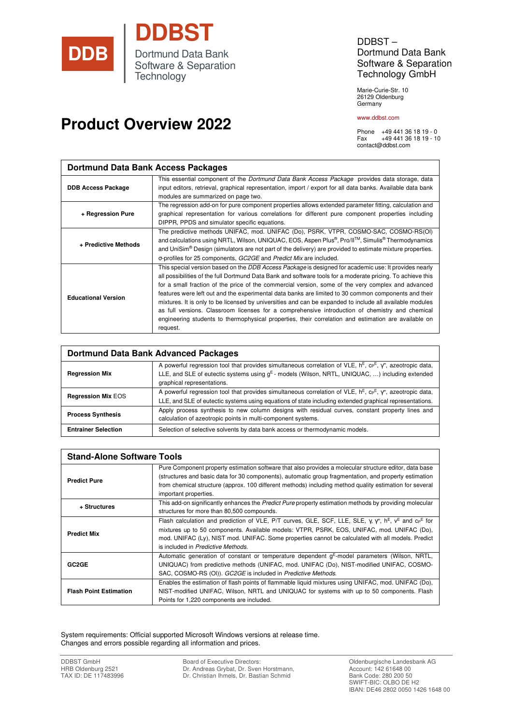

Dortmund Data Bank Software & Separation Technology **DDBST**

## **Product Overview 2022**

DDBST – Dortmund Data Bank Software & Separation Technology GmbH

Marie-Curie-Str. 10 26129 Oldenburg **Germany** 

## www.ddbst.com

Phone +49 441 36 18 19 - 0 Fax +49 441 36 18 19 - 10 contact@ddbst.com

| <b>Dortmund Data Bank Access Packages</b> |                                                                                                                                                                                                                                                                                                                                                                                                                                                                                                                                                                                                                                                                                                                                                                              |  |
|-------------------------------------------|------------------------------------------------------------------------------------------------------------------------------------------------------------------------------------------------------------------------------------------------------------------------------------------------------------------------------------------------------------------------------------------------------------------------------------------------------------------------------------------------------------------------------------------------------------------------------------------------------------------------------------------------------------------------------------------------------------------------------------------------------------------------------|--|
| <b>DDB Access Package</b>                 | This essential component of the <i>Dortmund Data Bank Access Package</i> provides data storage, data<br>input editors, retrieval, graphical representation, import / export for all data banks. Available data bank<br>modules are summarized on page two.                                                                                                                                                                                                                                                                                                                                                                                                                                                                                                                   |  |
| + Regression Pure                         | The regression add-on for pure component properties allows extended parameter fitting, calculation and<br>graphical representation for various correlations for different pure component properties including<br>DIPPR, PPDS and simulator specific equations.                                                                                                                                                                                                                                                                                                                                                                                                                                                                                                               |  |
| + Predictive Methods                      | The predictive methods UNIFAC, mod. UNIFAC (Do), PSRK, VTPR, COSMO-SAC, COSMO-RS(OI)<br>and calculations using NRTL, Wilson, UNIQUAC, EOS, Aspen Plus®, Pro/II <sup>TM</sup> , Simulis® Thermodynamics<br>and UniSim <sup>®</sup> Design (simulators are not part of the delivery) are provided to estimate mixture properties.<br>σ-profiles for 25 components, GC2GE and Predict Mix are included.                                                                                                                                                                                                                                                                                                                                                                         |  |
| <b>Educational Version</b>                | This special version based on the <i>DDB Access Package</i> is designed for academic use: It provides nearly<br>all possibilities of the full Dortmund Data Bank and software tools for a moderate pricing. To achieve this<br>for a small fraction of the price of the commercial version, some of the very complex and advanced<br>features were left out and the experimental data banks are limited to 30 common components and their<br>mixtures. It is only to be licensed by universities and can be expanded to include all available modules<br>as full versions. Classroom licenses for a comprehensive introduction of chemistry and chemical<br>engineering students to thermophysical properties, their correlation and estimation are available on<br>request. |  |

| <b>Dortmund Data Bank Advanced Packages</b> |                                                                                                                                                                                                                                                                   |  |
|---------------------------------------------|-------------------------------------------------------------------------------------------------------------------------------------------------------------------------------------------------------------------------------------------------------------------|--|
| <b>Regression Mix</b>                       | A powerful regression tool that provides simultaneous correlation of VLE, $h^E$ , $c^F$ , $\gamma^{\circ}$ , azeotropic data,<br>LLE, and SLE of eutectic systems using $q^E$ - models (Wilson, NRTL, UNIQUAC, ) including extended<br>graphical representations. |  |
| <b>Regression Mix EOS</b>                   | A powerful regression tool that provides simultaneous correlation of VLE, $h^E$ , $c_P^E$ , $\gamma^e$ , azeotropic data,<br>LLE, and SLE of eutectic systems using equations of state including extended graphical representations.                              |  |
| <b>Process Synthesis</b>                    | Apply process synthesis to new column designs with residual curves, constant property lines and<br>calculation of azeotropic points in multi-component systems.                                                                                                   |  |
| <b>Entrainer Selection</b>                  | Selection of selective solvents by data bank access or thermodynamic models.                                                                                                                                                                                      |  |

| <b>Stand-Alone Software Tools</b> |                                                                                                                                                                                                                                                                                                                                                                                        |  |
|-----------------------------------|----------------------------------------------------------------------------------------------------------------------------------------------------------------------------------------------------------------------------------------------------------------------------------------------------------------------------------------------------------------------------------------|--|
| <b>Predict Pure</b>               | Pure Component property estimation software that also provides a molecular structure editor, data base<br>(structures and basic data for 30 components), automatic group fragmentation, and property estimation<br>from chemical structure (approx. 100 different methods) including method quality estimation for several<br>important properties.                                    |  |
| + Structures                      | This add-on significantly enhances the Predict Pure property estimation methods by providing molecular<br>structures for more than 80,500 compounds.                                                                                                                                                                                                                                   |  |
| <b>Predict Mix</b>                | Flash calculation and prediction of VLE, P/T curves, GLE, SCF, LLE, SLE, $\gamma$ , $\gamma^{\circ}$ , h <sup>E</sup> , $v^E$ and $c_P^E$ for<br>mixtures up to 50 components. Available models: VTPR, PSRK, EOS, UNIFAC, mod. UNIFAC (Do),<br>mod. UNIFAC (Ly), NIST mod. UNIFAC. Some properties cannot be calculated with all models. Predict<br>is included in Predictive Methods. |  |
| <b>GC2GE</b>                      | Automatic generation of constant or temperature dependent $g^E$ -model parameters (Wilson, NRTL,<br>UNIQUAC) from predictive methods (UNIFAC, mod. UNIFAC (Do), NIST-modified UNIFAC, COSMO-<br>SAC, COSMO-RS (OI)). GC2GE is included in Predictive Methods.                                                                                                                          |  |
| <b>Flash Point Estimation</b>     | Enables the estimation of flash points of flammable liquid mixtures using UNIFAC, mod. UNIFAC (Do),<br>NIST-modified UNIFAC, Wilson, NRTL and UNIQUAC for systems with up to 50 components. Flash<br>Points for 1,220 components are included.                                                                                                                                         |  |

System requirements: Official supported Microsoft Windows versions at release time. Changes and errors possible regarding all information and prices.

DDBST GmbH<br>
Board of Executive Directors: Company of Clenburgische Landesbank AG<br>
Dr. Andreas Grybat, Dr. Sven Horstmann, Caccount: 142 61648 00 HRB Oldenburg 2521 **Dr. Andreas Grybat, Dr. Sven Horstmann, 142 10: DE 117483996 Dr. Christian Ihmels, Dr. Bastian Schmid** Dr. Christian Ihmels, Dr. Bastian Schmid